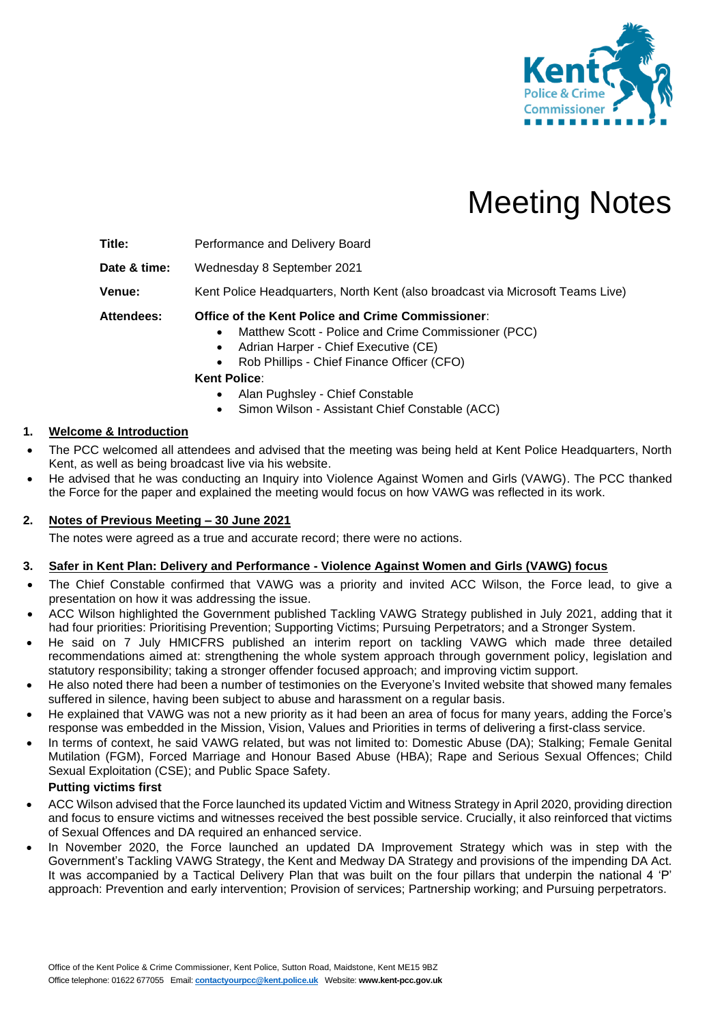

# Meeting Notes

**Title:** Performance and Delivery Board

**Date & time:** Wednesday 8 September 2021

**Venue:** Kent Police Headquarters, North Kent (also broadcast via Microsoft Teams Live)

**Attendees: Office of the Kent Police and Crime Commissioner**:

- Matthew Scott Police and Crime Commissioner (PCC)
- Adrian Harper Chief Executive (CE)
- Rob Phillips Chief Finance Officer (CFO)

**Kent Police**:

- Alan Pughsley Chief Constable
- Simon Wilson Assistant Chief Constable (ACC)

# **1. Welcome & Introduction**

- The PCC welcomed all attendees and advised that the meeting was being held at Kent Police Headquarters, North Kent, as well as being broadcast live via his website.
- He advised that he was conducting an Inquiry into Violence Against Women and Girls (VAWG). The PCC thanked the Force for the paper and explained the meeting would focus on how VAWG was reflected in its work.

## **2. Notes of Previous Meeting – 30 June 2021**

The notes were agreed as a true and accurate record; there were no actions.

## **3. Safer in Kent Plan: Delivery and Performance - Violence Against Women and Girls (VAWG) focus**

- The Chief Constable confirmed that VAWG was a priority and invited ACC Wilson, the Force lead, to give a presentation on how it was addressing the issue.
- ACC Wilson highlighted the Government published Tackling VAWG Strategy published in July 2021, adding that it had four priorities: Prioritising Prevention; Supporting Victims; Pursuing Perpetrators; and a Stronger System.
- He said on 7 July HMICFRS published an interim report on tackling VAWG which made three detailed recommendations aimed at: strengthening the whole system approach through government policy, legislation and statutory responsibility; taking a stronger offender focused approach; and improving victim support.
- He also noted there had been a number of testimonies on the Everyone's Invited website that showed many females suffered in silence, having been subject to abuse and harassment on a regular basis.
- He explained that VAWG was not a new priority as it had been an area of focus for many years, adding the Force's response was embedded in the Mission, Vision, Values and Priorities in terms of delivering a first-class service.
- In terms of context, he said VAWG related, but was not limited to: Domestic Abuse (DA); Stalking; Female Genital Mutilation (FGM), Forced Marriage and Honour Based Abuse (HBA); Rape and Serious Sexual Offences; Child Sexual Exploitation (CSE); and Public Space Safety.

# **Putting victims first**

- ACC Wilson advised that the Force launched its updated Victim and Witness Strategy in April 2020, providing direction and focus to ensure victims and witnesses received the best possible service. Crucially, it also reinforced that victims of Sexual Offences and DA required an enhanced service.
- In November 2020, the Force launched an updated DA Improvement Strategy which was in step with the Government's Tackling VAWG Strategy, the Kent and Medway DA Strategy and provisions of the impending DA Act. It was accompanied by a Tactical Delivery Plan that was built on the four pillars that underpin the national 4 'P' approach: Prevention and early intervention; Provision of services; Partnership working; and Pursuing perpetrators.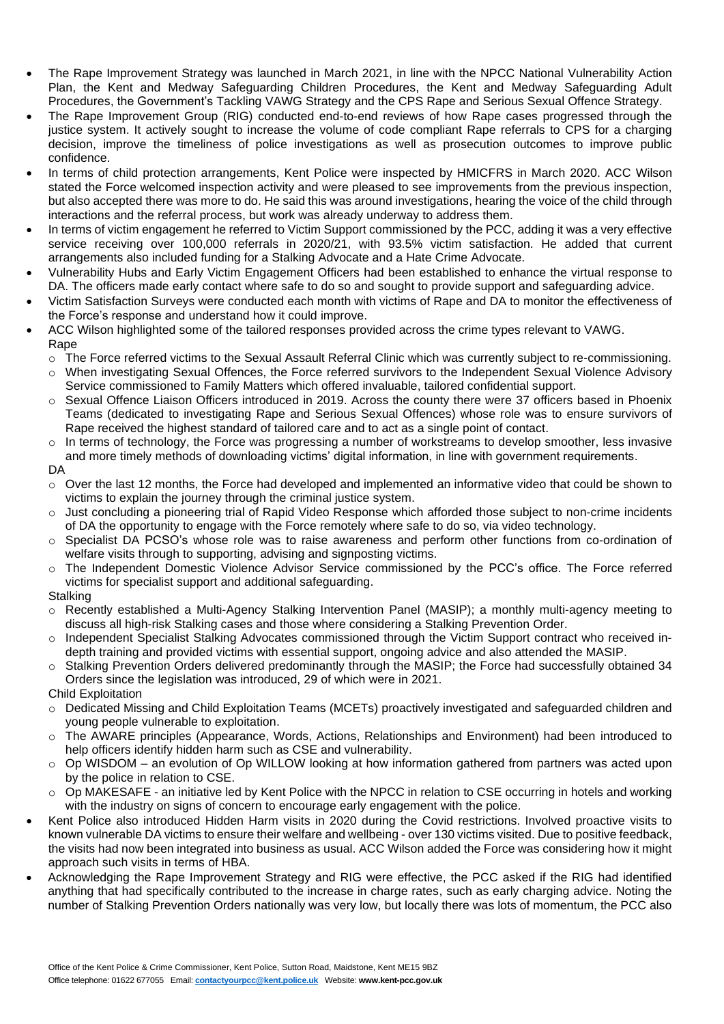- The Rape Improvement Strategy was launched in March 2021, in line with the NPCC National Vulnerability Action Plan, the Kent and Medway Safeguarding Children Procedures, the Kent and Medway Safeguarding Adult Procedures, the Government's Tackling VAWG Strategy and the CPS Rape and Serious Sexual Offence Strategy.
- The Rape Improvement Group (RIG) conducted end-to-end reviews of how Rape cases progressed through the justice system. It actively sought to increase the volume of code compliant Rape referrals to CPS for a charging decision, improve the timeliness of police investigations as well as prosecution outcomes to improve public confidence.
- In terms of child protection arrangements, Kent Police were inspected by HMICFRS in March 2020. ACC Wilson stated the Force welcomed inspection activity and were pleased to see improvements from the previous inspection, but also accepted there was more to do. He said this was around investigations, hearing the voice of the child through interactions and the referral process, but work was already underway to address them.
- In terms of victim engagement he referred to Victim Support commissioned by the PCC, adding it was a very effective service receiving over 100,000 referrals in 2020/21, with 93.5% victim satisfaction. He added that current arrangements also included funding for a Stalking Advocate and a Hate Crime Advocate.
- Vulnerability Hubs and Early Victim Engagement Officers had been established to enhance the virtual response to DA. The officers made early contact where safe to do so and sought to provide support and safeguarding advice.
- Victim Satisfaction Surveys were conducted each month with victims of Rape and DA to monitor the effectiveness of the Force's response and understand how it could improve.
- ACC Wilson highlighted some of the tailored responses provided across the crime types relevant to VAWG. Rape
	- o The Force referred victims to the Sexual Assault Referral Clinic which was currently subject to re-commissioning.
	- o When investigating Sexual Offences, the Force referred survivors to the Independent Sexual Violence Advisory Service commissioned to Family Matters which offered invaluable, tailored confidential support.
	- o Sexual Offence Liaison Officers introduced in 2019. Across the county there were 37 officers based in Phoenix Teams (dedicated to investigating Rape and Serious Sexual Offences) whose role was to ensure survivors of Rape received the highest standard of tailored care and to act as a single point of contact.
	- $\circ$  In terms of technology, the Force was progressing a number of workstreams to develop smoother, less invasive and more timely methods of downloading victims' digital information, in line with government requirements.
	- DA
	- $\circ$  Over the last 12 months, the Force had developed and implemented an informative video that could be shown to victims to explain the journey through the criminal justice system.
	- o Just concluding a pioneering trial of Rapid Video Response which afforded those subject to non-crime incidents of DA the opportunity to engage with the Force remotely where safe to do so, via video technology.
	- o Specialist DA PCSO's whose role was to raise awareness and perform other functions from co-ordination of welfare visits through to supporting, advising and signposting victims.
	- o The Independent Domestic Violence Advisor Service commissioned by the PCC's office. The Force referred victims for specialist support and additional safeguarding.
	- **Stalking**
	- o Recently established a Multi-Agency Stalking Intervention Panel (MASIP); a monthly multi-agency meeting to discuss all high-risk Stalking cases and those where considering a Stalking Prevention Order.
	- o Independent Specialist Stalking Advocates commissioned through the Victim Support contract who received indepth training and provided victims with essential support, ongoing advice and also attended the MASIP.
	- o Stalking Prevention Orders delivered predominantly through the MASIP; the Force had successfully obtained 34 Orders since the legislation was introduced, 29 of which were in 2021.

Child Exploitation

- o Dedicated Missing and Child Exploitation Teams (MCETs) proactively investigated and safeguarded children and young people vulnerable to exploitation.
- o The AWARE principles (Appearance, Words, Actions, Relationships and Environment) had been introduced to help officers identify hidden harm such as CSE and vulnerability.
- $\circ$  Op WISDOM an evolution of Op WILLOW looking at how information gathered from partners was acted upon by the police in relation to CSE.
- o Op MAKESAFE an initiative led by Kent Police with the NPCC in relation to CSE occurring in hotels and working with the industry on signs of concern to encourage early engagement with the police.
- Kent Police also introduced Hidden Harm visits in 2020 during the Covid restrictions. Involved proactive visits to known vulnerable DA victims to ensure their welfare and wellbeing - over 130 victims visited. Due to positive feedback, the visits had now been integrated into business as usual. ACC Wilson added the Force was considering how it might approach such visits in terms of HBA.
- Acknowledging the Rape Improvement Strategy and RIG were effective, the PCC asked if the RIG had identified anything that had specifically contributed to the increase in charge rates, such as early charging advice. Noting the number of Stalking Prevention Orders nationally was very low, but locally there was lots of momentum, the PCC also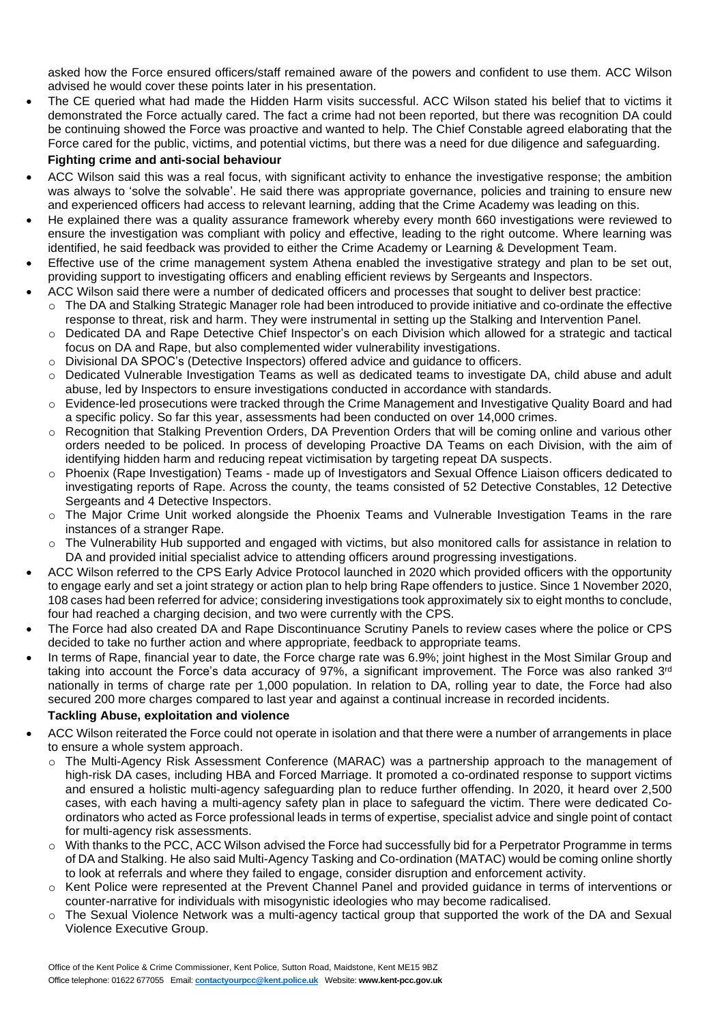asked how the Force ensured officers/staff remained aware of the powers and confident to use them. ACC Wilson advised he would cover these points later in his presentation.

• The CE queried what had made the Hidden Harm visits successful. ACC Wilson stated his belief that to victims it demonstrated the Force actually cared. The fact a crime had not been reported, but there was recognition DA could be continuing showed the Force was proactive and wanted to help. The Chief Constable agreed elaborating that the Force cared for the public, victims, and potential victims, but there was a need for due diligence and safeguarding.

#### **Fighting crime and anti-social behaviour**

- ACC Wilson said this was a real focus, with significant activity to enhance the investigative response; the ambition was always to 'solve the solvable'. He said there was appropriate governance, policies and training to ensure new and experienced officers had access to relevant learning, adding that the Crime Academy was leading on this.
- He explained there was a quality assurance framework whereby every month 660 investigations were reviewed to ensure the investigation was compliant with policy and effective, leading to the right outcome. Where learning was identified, he said feedback was provided to either the Crime Academy or Learning & Development Team.
- Effective use of the crime management system Athena enabled the investigative strategy and plan to be set out, providing support to investigating officers and enabling efficient reviews by Sergeants and Inspectors.
	- ACC Wilson said there were a number of dedicated officers and processes that sought to deliver best practice:
	- o The DA and Stalking Strategic Manager role had been introduced to provide initiative and co-ordinate the effective response to threat, risk and harm. They were instrumental in setting up the Stalking and Intervention Panel.
	- o Dedicated DA and Rape Detective Chief Inspector's on each Division which allowed for a strategic and tactical focus on DA and Rape, but also complemented wider vulnerability investigations.
	- o Divisional DA SPOC's (Detective Inspectors) offered advice and guidance to officers.
	- o Dedicated Vulnerable Investigation Teams as well as dedicated teams to investigate DA, child abuse and adult abuse, led by Inspectors to ensure investigations conducted in accordance with standards.
	- o Evidence-led prosecutions were tracked through the Crime Management and Investigative Quality Board and had a specific policy. So far this year, assessments had been conducted on over 14,000 crimes.
	- o Recognition that Stalking Prevention Orders, DA Prevention Orders that will be coming online and various other orders needed to be policed. In process of developing Proactive DA Teams on each Division, with the aim of identifying hidden harm and reducing repeat victimisation by targeting repeat DA suspects.
	- o Phoenix (Rape Investigation) Teams made up of Investigators and Sexual Offence Liaison officers dedicated to investigating reports of Rape. Across the county, the teams consisted of 52 Detective Constables, 12 Detective Sergeants and 4 Detective Inspectors.
	- o The Major Crime Unit worked alongside the Phoenix Teams and Vulnerable Investigation Teams in the rare instances of a stranger Rape.
	- o The Vulnerability Hub supported and engaged with victims, but also monitored calls for assistance in relation to DA and provided initial specialist advice to attending officers around progressing investigations.
- ACC Wilson referred to the CPS Early Advice Protocol launched in 2020 which provided officers with the opportunity to engage early and set a joint strategy or action plan to help bring Rape offenders to justice. Since 1 November 2020, 108 cases had been referred for advice; considering investigations took approximately six to eight months to conclude, four had reached a charging decision, and two were currently with the CPS.
- The Force had also created DA and Rape Discontinuance Scrutiny Panels to review cases where the police or CPS decided to take no further action and where appropriate, feedback to appropriate teams.
- In terms of Rape, financial year to date, the Force charge rate was 6.9%; joint highest in the Most Similar Group and taking into account the Force's data accuracy of 97%, a significant improvement. The Force was also ranked 3<sup>rd</sup> nationally in terms of charge rate per 1,000 population. In relation to DA, rolling year to date, the Force had also secured 200 more charges compared to last year and against a continual increase in recorded incidents.

#### **Tackling Abuse, exploitation and violence**

- ACC Wilson reiterated the Force could not operate in isolation and that there were a number of arrangements in place to ensure a whole system approach.
	- o The Multi-Agency Risk Assessment Conference (MARAC) was a partnership approach to the management of high-risk DA cases, including HBA and Forced Marriage. It promoted a co-ordinated response to support victims and ensured a holistic multi-agency safeguarding plan to reduce further offending. In 2020, it heard over 2,500 cases, with each having a multi-agency safety plan in place to safeguard the victim. There were dedicated Coordinators who acted as Force professional leads in terms of expertise, specialist advice and single point of contact for multi-agency risk assessments.
	- With thanks to the PCC, ACC Wilson advised the Force had successfully bid for a Perpetrator Programme in terms of DA and Stalking. He also said Multi-Agency Tasking and Co-ordination (MATAC) would be coming online shortly to look at referrals and where they failed to engage, consider disruption and enforcement activity.
	- o Kent Police were represented at the Prevent Channel Panel and provided guidance in terms of interventions or counter-narrative for individuals with misogynistic ideologies who may become radicalised.
	- o The Sexual Violence Network was a multi-agency tactical group that supported the work of the DA and Sexual Violence Executive Group.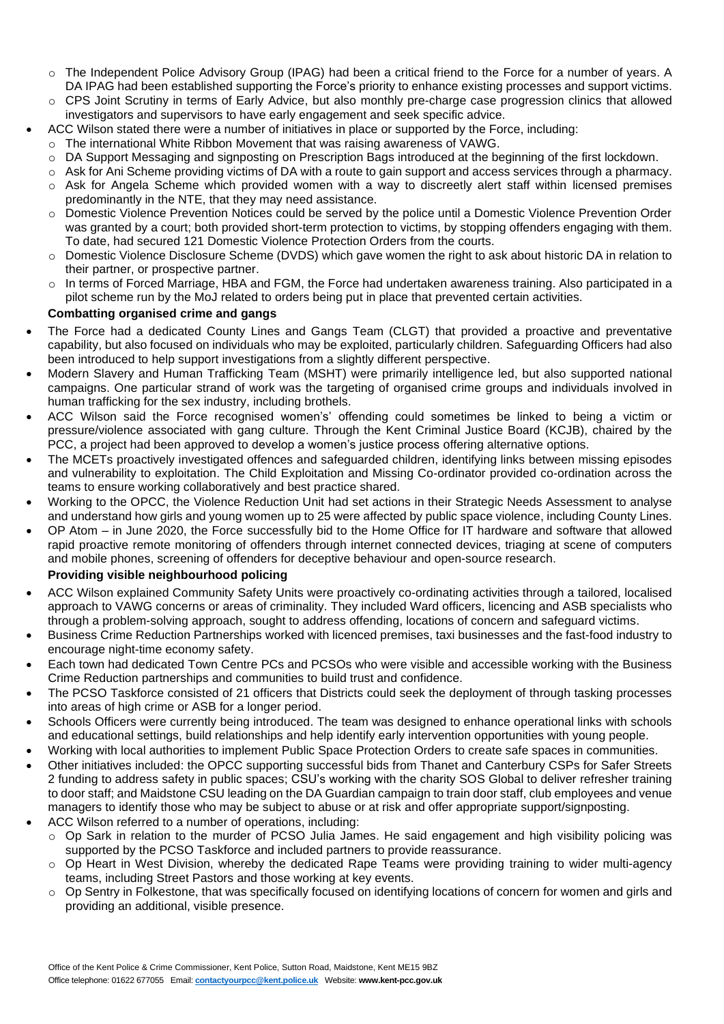- o The Independent Police Advisory Group (IPAG) had been a critical friend to the Force for a number of years. A DA IPAG had been established supporting the Force's priority to enhance existing processes and support victims.
- o CPS Joint Scrutiny in terms of Early Advice, but also monthly pre-charge case progression clinics that allowed investigators and supervisors to have early engagement and seek specific advice.
- ACC Wilson stated there were a number of initiatives in place or supported by the Force, including:
	- $\circ$  The international White Ribbon Movement that was raising awareness of VAWG.
	- o DA Support Messaging and signposting on Prescription Bags introduced at the beginning of the first lockdown.
	- o Ask for Ani Scheme providing victims of DA with a route to gain support and access services through a pharmacy.
	- o Ask for Angela Scheme which provided women with a way to discreetly alert staff within licensed premises predominantly in the NTE, that they may need assistance.
	- o Domestic Violence Prevention Notices could be served by the police until a Domestic Violence Prevention Order was granted by a court; both provided short-term protection to victims, by stopping offenders engaging with them. To date, had secured 121 Domestic Violence Protection Orders from the courts.
	- o Domestic Violence Disclosure Scheme (DVDS) which gave women the right to ask about historic DA in relation to their partner, or prospective partner.
	- o In terms of Forced Marriage, HBA and FGM, the Force had undertaken awareness training. Also participated in a pilot scheme run by the MoJ related to orders being put in place that prevented certain activities.

# **Combatting organised crime and gangs**

- The Force had a dedicated County Lines and Gangs Team (CLGT) that provided a proactive and preventative capability, but also focused on individuals who may be exploited, particularly children. Safeguarding Officers had also been introduced to help support investigations from a slightly different perspective.
- Modern Slavery and Human Trafficking Team (MSHT) were primarily intelligence led, but also supported national campaigns. One particular strand of work was the targeting of organised crime groups and individuals involved in human trafficking for the sex industry, including brothels.
- ACC Wilson said the Force recognised women's' offending could sometimes be linked to being a victim or pressure/violence associated with gang culture. Through the Kent Criminal Justice Board (KCJB), chaired by the PCC, a project had been approved to develop a women's justice process offering alternative options.
- The MCETs proactively investigated offences and safeguarded children, identifying links between missing episodes and vulnerability to exploitation. The Child Exploitation and Missing Co-ordinator provided co-ordination across the teams to ensure working collaboratively and best practice shared.
- Working to the OPCC, the Violence Reduction Unit had set actions in their Strategic Needs Assessment to analyse and understand how girls and young women up to 25 were affected by public space violence, including County Lines.
- OP Atom in June 2020, the Force successfully bid to the Home Office for IT hardware and software that allowed rapid proactive remote monitoring of offenders through internet connected devices, triaging at scene of computers and mobile phones, screening of offenders for deceptive behaviour and open-source research.

# **Providing visible neighbourhood policing**

- ACC Wilson explained Community Safety Units were proactively co-ordinating activities through a tailored, localised approach to VAWG concerns or areas of criminality. They included Ward officers, licencing and ASB specialists who through a problem-solving approach, sought to address offending, locations of concern and safeguard victims.
- Business Crime Reduction Partnerships worked with licenced premises, taxi businesses and the fast-food industry to encourage night-time economy safety.
- Each town had dedicated Town Centre PCs and PCSOs who were visible and accessible working with the Business Crime Reduction partnerships and communities to build trust and confidence.
- The PCSO Taskforce consisted of 21 officers that Districts could seek the deployment of through tasking processes into areas of high crime or ASB for a longer period.
- Schools Officers were currently being introduced. The team was designed to enhance operational links with schools and educational settings, build relationships and help identify early intervention opportunities with young people.
- Working with local authorities to implement Public Space Protection Orders to create safe spaces in communities.
- Other initiatives included: the OPCC supporting successful bids from Thanet and Canterbury CSPs for Safer Streets 2 funding to address safety in public spaces; CSU's working with the charity SOS Global to deliver refresher training to door staff; and Maidstone CSU leading on the DA Guardian campaign to train door staff, club employees and venue managers to identify those who may be subject to abuse or at risk and offer appropriate support/signposting.
- ACC Wilson referred to a number of operations, including:
	- o Op Sark in relation to the murder of PCSO Julia James. He said engagement and high visibility policing was supported by the PCSO Taskforce and included partners to provide reassurance.
	- o Op Heart in West Division, whereby the dedicated Rape Teams were providing training to wider multi-agency teams, including Street Pastors and those working at key events.
	- o Op Sentry in Folkestone, that was specifically focused on identifying locations of concern for women and girls and providing an additional, visible presence.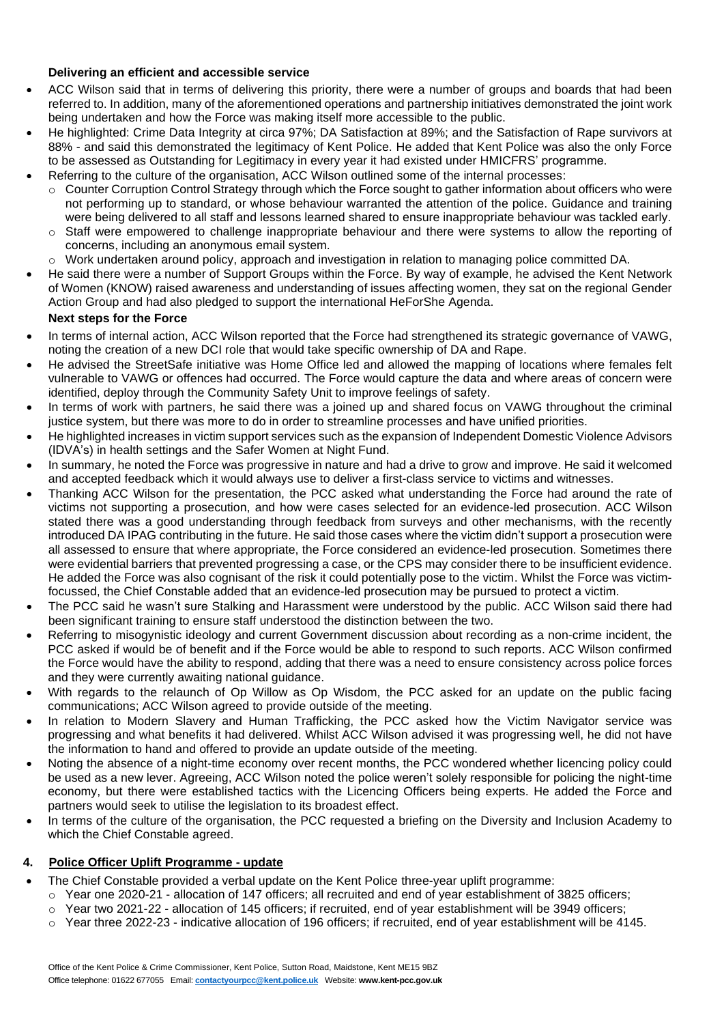# **Delivering an efficient and accessible service**

- ACC Wilson said that in terms of delivering this priority, there were a number of groups and boards that had been referred to. In addition, many of the aforementioned operations and partnership initiatives demonstrated the joint work being undertaken and how the Force was making itself more accessible to the public.
- He highlighted: Crime Data Integrity at circa 97%; DA Satisfaction at 89%; and the Satisfaction of Rape survivors at 88% - and said this demonstrated the legitimacy of Kent Police. He added that Kent Police was also the only Force to be assessed as Outstanding for Legitimacy in every year it had existed under HMICFRS' programme.
- Referring to the culture of the organisation, ACC Wilson outlined some of the internal processes:
	- $\circ$  Counter Corruption Control Strategy through which the Force sought to gather information about officers who were not performing up to standard, or whose behaviour warranted the attention of the police. Guidance and training were being delivered to all staff and lessons learned shared to ensure inappropriate behaviour was tackled early.
	- o Staff were empowered to challenge inappropriate behaviour and there were systems to allow the reporting of concerns, including an anonymous email system.
	- o Work undertaken around policy, approach and investigation in relation to managing police committed DA.
- He said there were a number of Support Groups within the Force. By way of example, he advised the Kent Network of Women (KNOW) raised awareness and understanding of issues affecting women, they sat on the regional Gender Action Group and had also pledged to support the international HeForShe Agenda.

## **Next steps for the Force**

- In terms of internal action, ACC Wilson reported that the Force had strengthened its strategic governance of VAWG, noting the creation of a new DCI role that would take specific ownership of DA and Rape.
- He advised the StreetSafe initiative was Home Office led and allowed the mapping of locations where females felt vulnerable to VAWG or offences had occurred. The Force would capture the data and where areas of concern were identified, deploy through the Community Safety Unit to improve feelings of safety.
- In terms of work with partners, he said there was a joined up and shared focus on VAWG throughout the criminal justice system, but there was more to do in order to streamline processes and have unified priorities.
- He highlighted increases in victim support services such as the expansion of Independent Domestic Violence Advisors (IDVA's) in health settings and the Safer Women at Night Fund.
- In summary, he noted the Force was progressive in nature and had a drive to grow and improve. He said it welcomed and accepted feedback which it would always use to deliver a first-class service to victims and witnesses.
- Thanking ACC Wilson for the presentation, the PCC asked what understanding the Force had around the rate of victims not supporting a prosecution, and how were cases selected for an evidence-led prosecution. ACC Wilson stated there was a good understanding through feedback from surveys and other mechanisms, with the recently introduced DA IPAG contributing in the future. He said those cases where the victim didn't support a prosecution were all assessed to ensure that where appropriate, the Force considered an evidence-led prosecution. Sometimes there were evidential barriers that prevented progressing a case, or the CPS may consider there to be insufficient evidence. He added the Force was also cognisant of the risk it could potentially pose to the victim. Whilst the Force was victimfocussed, the Chief Constable added that an evidence-led prosecution may be pursued to protect a victim.
- The PCC said he wasn't sure Stalking and Harassment were understood by the public. ACC Wilson said there had been significant training to ensure staff understood the distinction between the two.
- Referring to misogynistic ideology and current Government discussion about recording as a non-crime incident, the PCC asked if would be of benefit and if the Force would be able to respond to such reports. ACC Wilson confirmed the Force would have the ability to respond, adding that there was a need to ensure consistency across police forces and they were currently awaiting national guidance.
- With regards to the relaunch of Op Willow as Op Wisdom, the PCC asked for an update on the public facing communications; ACC Wilson agreed to provide outside of the meeting.
- In relation to Modern Slavery and Human Trafficking, the PCC asked how the Victim Navigator service was progressing and what benefits it had delivered. Whilst ACC Wilson advised it was progressing well, he did not have the information to hand and offered to provide an update outside of the meeting.
- Noting the absence of a night-time economy over recent months, the PCC wondered whether licencing policy could be used as a new lever. Agreeing, ACC Wilson noted the police weren't solely responsible for policing the night-time economy, but there were established tactics with the Licencing Officers being experts. He added the Force and partners would seek to utilise the legislation to its broadest effect.
- In terms of the culture of the organisation, the PCC requested a briefing on the Diversity and Inclusion Academy to which the Chief Constable agreed.

## **4. Police Officer Uplift Programme - update**

- The Chief Constable provided a verbal update on the Kent Police three-year uplift programme:
	- o Year one 2020-21 allocation of 147 officers; all recruited and end of year establishment of 3825 officers;
	- o Year two 2021-22 allocation of 145 officers; if recruited, end of year establishment will be 3949 officers;
	- o Year three 2022-23 indicative allocation of 196 officers; if recruited, end of year establishment will be 4145.